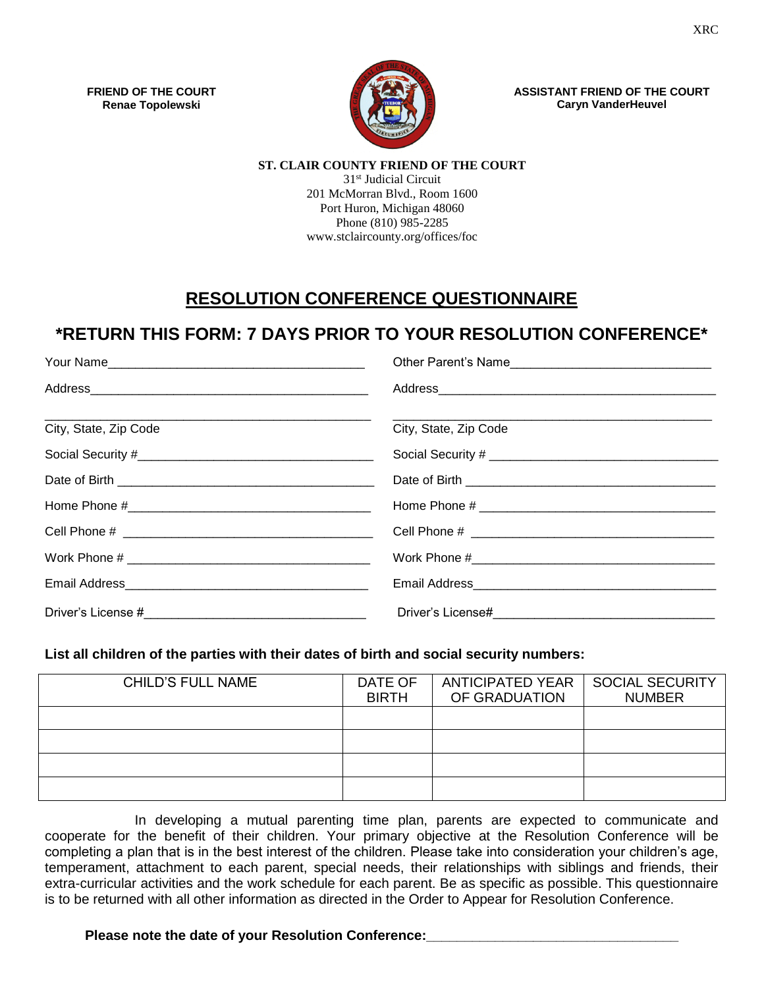**FRIEND OF THE COURT Renae Topolewski**



**ASSISTANT FRIEND OF THE COURT Caryn VanderHeuvel**

#### **ST. CLAIR COUNTY FRIEND OF THE COURT**

31st Judicial Circuit 201 McMorran Blvd., Room 1600 Port Huron, Michigan 48060 Phone (810) 985-2285 www.stclaircounty.org/offices/foc

# **RESOLUTION CONFERENCE QUESTIONNAIRE**

# **\*RETURN THIS FORM: 7 DAYS PRIOR TO YOUR RESOLUTION CONFERENCE\***

| Your Name             |                       |
|-----------------------|-----------------------|
|                       |                       |
| City, State, Zip Code | City, State, Zip Code |
|                       |                       |
|                       |                       |
|                       |                       |
|                       |                       |
|                       |                       |
|                       |                       |
|                       |                       |

### **List all children of the parties with their dates of birth and social security numbers:**

| <b>CHILD'S FULL NAME</b> | DATE OF<br><b>BIRTH</b> | <b>ANTICIPATED YEAR</b><br>OF GRADUATION | <b>SOCIAL SECURITY</b><br><b>NUMBER</b> |
|--------------------------|-------------------------|------------------------------------------|-----------------------------------------|
|                          |                         |                                          |                                         |
|                          |                         |                                          |                                         |
|                          |                         |                                          |                                         |
|                          |                         |                                          |                                         |

In developing a mutual parenting time plan, parents are expected to communicate and cooperate for the benefit of their children. Your primary objective at the Resolution Conference will be completing a plan that is in the best interest of the children. Please take into consideration your children's age, temperament, attachment to each parent, special needs, their relationships with siblings and friends, their extra-curricular activities and the work schedule for each parent. Be as specific as possible. This questionnaire is to be returned with all other information as directed in the Order to Appear for Resolution Conference.

### Please note the date of your Resolution Conference: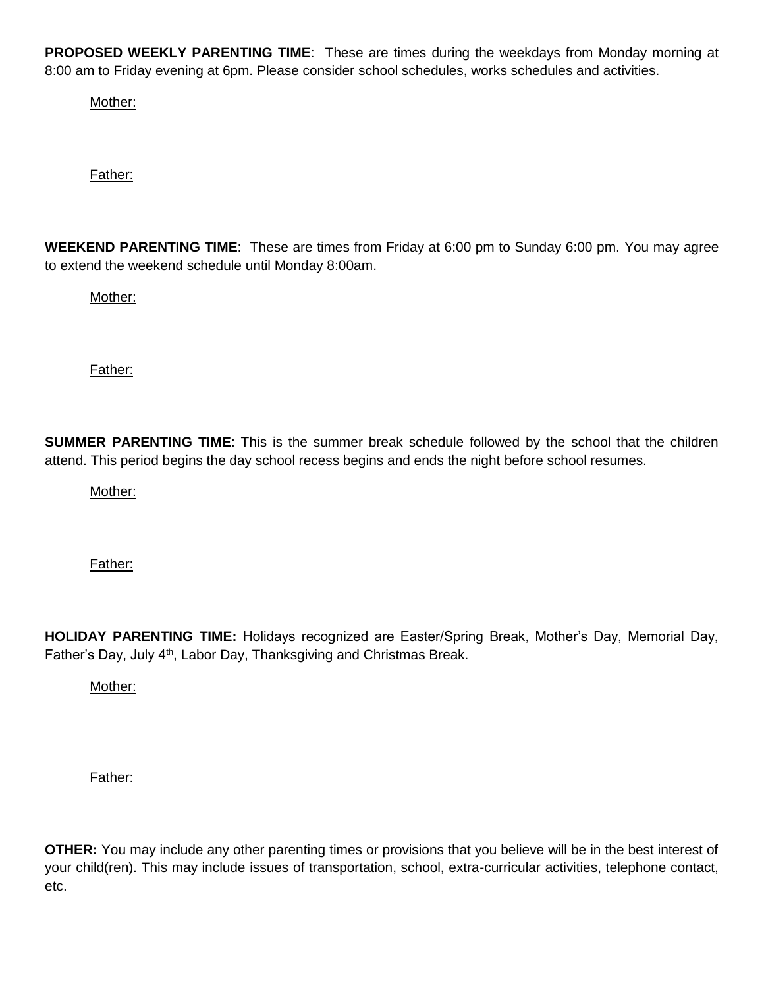**PROPOSED WEEKLY PARENTING TIME**: These are times during the weekdays from Monday morning at 8:00 am to Friday evening at 6pm. Please consider school schedules, works schedules and activities.

Mother:

Father:

**WEEKEND PARENTING TIME**: These are times from Friday at 6:00 pm to Sunday 6:00 pm. You may agree to extend the weekend schedule until Monday 8:00am.

Mother:

Father:

**SUMMER PARENTING TIME**: This is the summer break schedule followed by the school that the children attend. This period begins the day school recess begins and ends the night before school resumes.

Mother:

Father:

**HOLIDAY PARENTING TIME:** Holidays recognized are Easter/Spring Break, Mother's Day, Memorial Day, Father's Day, July 4<sup>th</sup>, Labor Day, Thanksgiving and Christmas Break.

Mother:

Father:

**OTHER:** You may include any other parenting times or provisions that you believe will be in the best interest of your child(ren). This may include issues of transportation, school, extra-curricular activities, telephone contact, etc.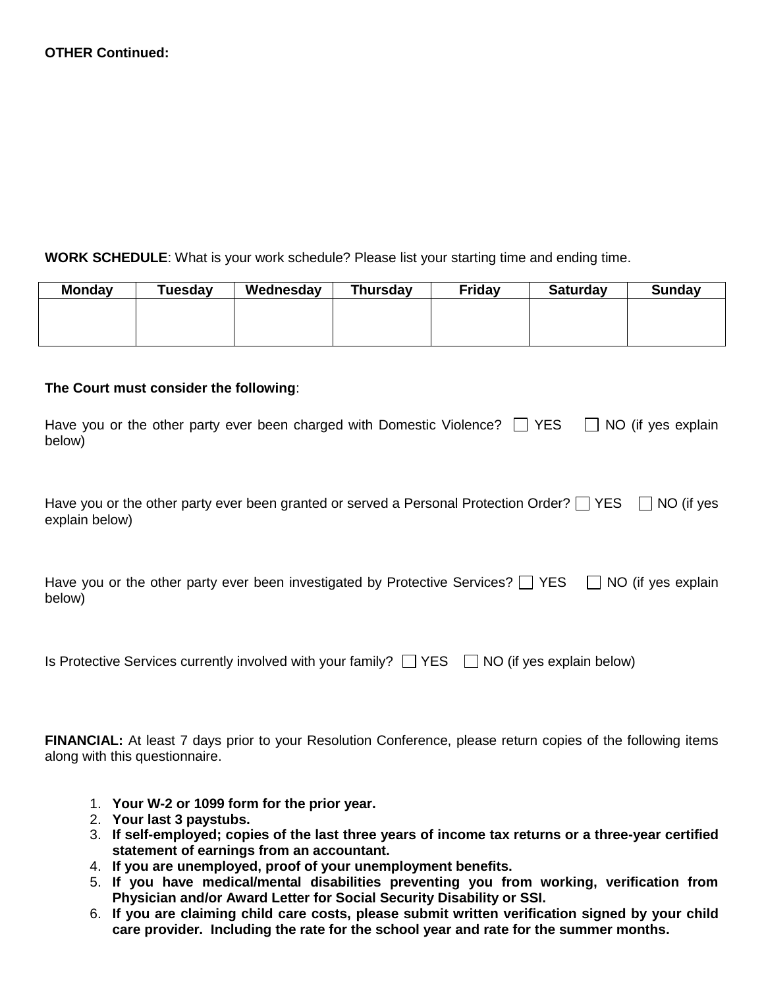## **WORK SCHEDULE**: What is your work schedule? Please list your starting time and ending time.

| <b>Monday</b> | Tuesday | Wednesday | <b>Thursday</b> | <b>Friday</b> | <b>Saturday</b> | <b>Sunday</b> |
|---------------|---------|-----------|-----------------|---------------|-----------------|---------------|
|               |         |           |                 |               |                 |               |
|               |         |           |                 |               |                 |               |
|               |         |           |                 |               |                 |               |

## **The Court must consider the following**:

| Have you or the other party ever been charged with Domestic Violence? $\Box$ YES $\Box$ NO (if yes explain |  |
|------------------------------------------------------------------------------------------------------------|--|
| below)                                                                                                     |  |

| Have you or the other party ever been granted or served a Personal Protection Order? $\Box$ YES $\Box$ NO (if yes |  |
|-------------------------------------------------------------------------------------------------------------------|--|
| explain below)                                                                                                    |  |

| Have you or the other party ever been investigated by Protective Services? $\Box$ YES $\Box$ NO (if yes explain |  |  |
|-----------------------------------------------------------------------------------------------------------------|--|--|
| below)                                                                                                          |  |  |

| Is Protective Services currently involved with your family? $\Box$ YES $\Box$ NO (if yes explain below) |  |  |
|---------------------------------------------------------------------------------------------------------|--|--|
|---------------------------------------------------------------------------------------------------------|--|--|

**FINANCIAL:** At least 7 days prior to your Resolution Conference, please return copies of the following items along with this questionnaire.

- 1. **Your W-2 or 1099 form for the prior year.**
- 2. **Your last 3 paystubs.**
- 3. **If self-employed; copies of the last three years of income tax returns or a three-year certified statement of earnings from an accountant.**
- 4. **If you are unemployed, proof of your unemployment benefits.**
- 5. **If you have medical/mental disabilities preventing you from working, verification from Physician and/or Award Letter for Social Security Disability or SSI.**
- 6. **If you are claiming child care costs, please submit written verification signed by your child care provider. Including the rate for the school year and rate for the summer months.**